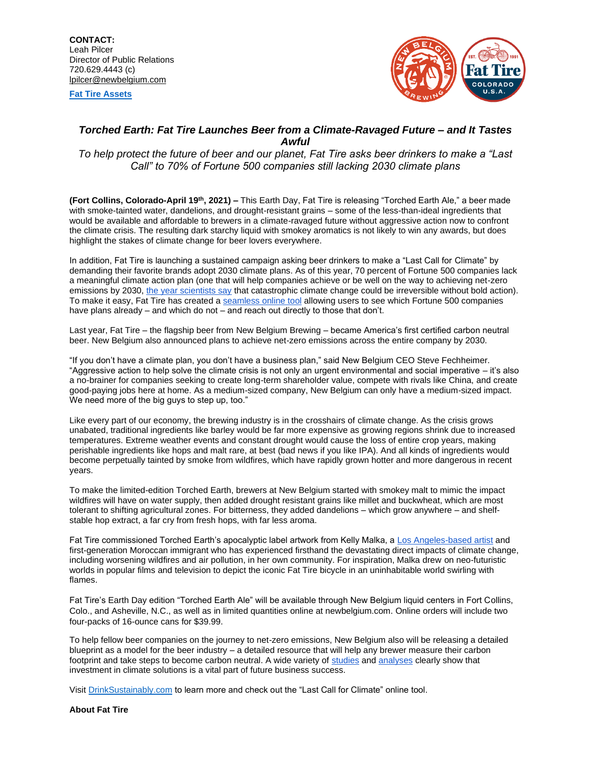**[Fat Tire Assets](https://assets.newbelgium.com/share/1D4562B4-99A1-4082-BCC4E0C166C6E68D)**



## *Torched Earth: Fat Tire Launches Beer from a Climate-Ravaged Future – and It Tastes Awful*

*To help protect the future of beer and our planet, Fat Tire asks beer drinkers to make a "Last Call" to 70% of Fortune 500 companies still lacking 2030 climate plans*

**(Fort Collins, Colorado-April 19th, 2021) –** This Earth Day, Fat Tire is releasing "Torched Earth Ale," a beer made with smoke-tainted water, dandelions, and drought-resistant grains – some of the less-than-ideal ingredients that would be available and affordable to brewers in a climate-ravaged future without aggressive action now to confront the climate crisis. The resulting dark starchy liquid with smokey aromatics is not likely to win any awards, but does highlight the stakes of climate change for beer lovers everywhere.

In addition, Fat Tire is launching a sustained campaign asking beer drinkers to make a "Last Call for Climate" by demanding their favorite brands adopt 2030 climate plans. As of this year, 70 percent of Fortune 500 companies lack a meaningful climate action plan (one that will help companies achieve or be well on the way to achieving net-zero emissions by 2030[, the year scientists say](https://www.ipcc.ch/) that catastrophic climate change could be irreversible without bold action). To make it easy, Fat Tire has created a [seamless online tool](http://www.drinksustainably.com/lastcall) allowing users to see which Fortune 500 companies have plans already – and which do not – and reach out directly to those that don't.

Last year, Fat Tire – the flagship beer from New Belgium Brewing – became America's first certified carbon neutral beer. New Belgium also announced plans to achieve net-zero emissions across the entire company by 2030.

"If you don't have a climate plan, you don't have a business plan," said New Belgium CEO Steve Fechheimer. "Aggressive action to help solve the climate crisis is not only an urgent environmental and social imperative – it's also a no-brainer for companies seeking to create long-term shareholder value, compete with rivals like China, and create good-paying jobs here at home. As a medium-sized company, New Belgium can only have a medium-sized impact. We need more of the big guys to step up, too."

Like every part of our economy, the brewing industry is in the crosshairs of climate change. As the crisis grows unabated, traditional ingredients like barley would be far more expensive as growing regions shrink due to increased temperatures. Extreme weather events and constant drought would cause the loss of entire crop years, making perishable ingredients like hops and malt rare, at best (bad news if you like IPA). And all kinds of ingredients would become perpetually tainted by smoke from wildfires, which have rapidly grown hotter and more dangerous in recent years.

To make the limited-edition Torched Earth, brewers at New Belgium started with smokey malt to mimic the impact wildfires will have on water supply, then added drought resistant grains like millet and buckwheat, which are most tolerant to shifting agricultural zones. For bitterness, they added dandelions – which grow anywhere – and shelfstable hop extract, a far cry from fresh hops, with far less aroma.

Fat Tire commissioned Torched Earth's apocalyptic label artwork from Kelly Malka, [a Los Angeles-based artist](https://www.kellymalka.com/) and first-generation Moroccan immigrant who has experienced firsthand the devastating direct impacts of climate change, including worsening wildfires and air pollution, in her own community. For inspiration, Malka drew on neo-futuristic worlds in popular films and television to depict the iconic Fat Tire bicycle in an uninhabitable world swirling with flames.

Fat Tire's Earth Day edition "Torched Earth Ale" will be available through New Belgium liquid centers in Fort Collins, Colo., and Asheville, N.C., as well as in limited quantities online at newbelgium.com. Online orders will include two four-packs of 16-ounce cans for \$39.99.

To help fellow beer companies on the journey to net-zero emissions, New Belgium also will be releasing a detailed blueprint as a model for the beer industry – a detailed resource that will help any brewer measure their carbon footprint and take steps to become carbon neutral. A wide variety o[f studies](https://assets.kpmg/content/dam/kpmg/ie/pdf/2020/01/ie-the-business-case-for-climate-action.pdf) and [analyses](https://www.wri.org/blog/2020/07/economic-benefits-climate-action-us) clearly show that investment in climate solutions is a vital part of future business success.

Visi[t DrinkSustainably.com](https://www.drinksustainably.com/) to learn more and check out the "Last Call for Climate" online tool.

**About Fat Tire**